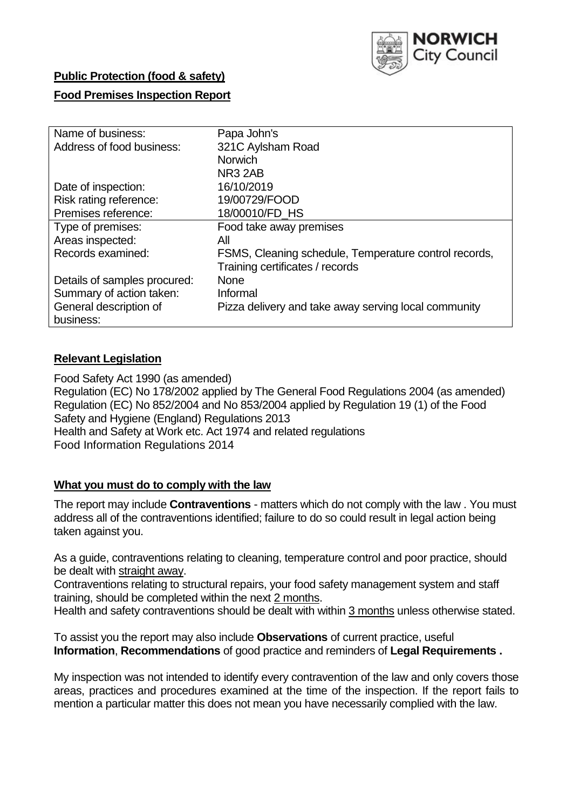

## **Public Protection (food & safety)**

## **Food Premises Inspection Report**

| Name of business:            | Papa John's                                           |
|------------------------------|-------------------------------------------------------|
| Address of food business:    | 321C Aylsham Road                                     |
|                              | <b>Norwich</b>                                        |
|                              | NR <sub>3</sub> 2AB                                   |
| Date of inspection:          | 16/10/2019                                            |
| Risk rating reference:       | 19/00729/FOOD                                         |
| Premises reference:          | 18/00010/FD HS                                        |
| Type of premises:            | Food take away premises                               |
| Areas inspected:             | All                                                   |
| Records examined:            | FSMS, Cleaning schedule, Temperature control records, |
|                              | Training certificates / records                       |
| Details of samples procured: | <b>None</b>                                           |
| Summary of action taken:     | Informal                                              |
| General description of       | Pizza delivery and take away serving local community  |
| business:                    |                                                       |

## **Relevant Legislation**

Food Safety Act 1990 (as amended) Regulation (EC) No 178/2002 applied by The General Food Regulations 2004 (as amended) Regulation (EC) No 852/2004 and No 853/2004 applied by Regulation 19 (1) of the Food Safety and Hygiene (England) Regulations 2013 Health and Safety at Work etc. Act 1974 and related regulations Food Information Regulations 2014

## **What you must do to comply with the law**

The report may include **Contraventions** - matters which do not comply with the law . You must address all of the contraventions identified; failure to do so could result in legal action being taken against you.

As a guide, contraventions relating to cleaning, temperature control and poor practice, should be dealt with straight away.

Contraventions relating to structural repairs, your food safety management system and staff training, should be completed within the next 2 months.

Health and safety contraventions should be dealt with within 3 months unless otherwise stated.

To assist you the report may also include **Observations** of current practice, useful **Information**, **Recommendations** of good practice and reminders of **Legal Requirements .**

My inspection was not intended to identify every contravention of the law and only covers those areas, practices and procedures examined at the time of the inspection. If the report fails to mention a particular matter this does not mean you have necessarily complied with the law.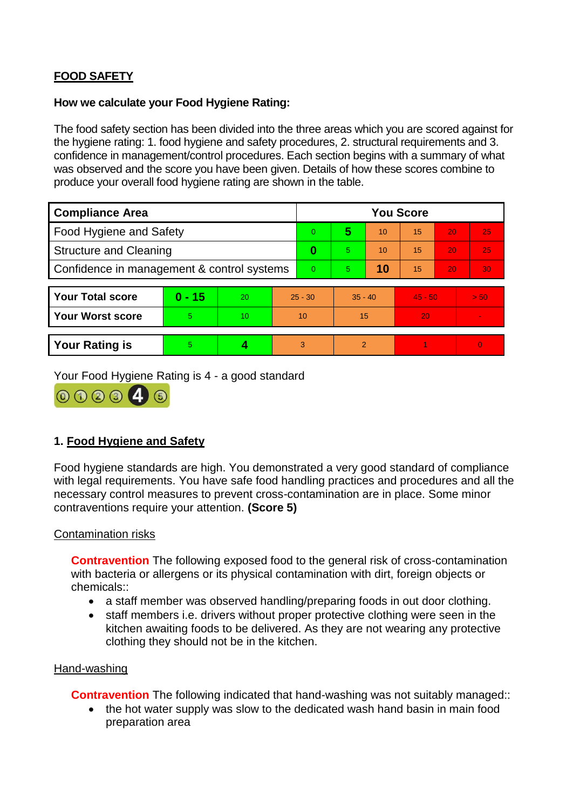# **FOOD SAFETY**

### **How we calculate your Food Hygiene Rating:**

The food safety section has been divided into the three areas which you are scored against for the hygiene rating: 1. food hygiene and safety procedures, 2. structural requirements and 3. confidence in management/control procedures. Each section begins with a summary of what was observed and the score you have been given. Details of how these scores combine to produce your overall food hygiene rating are shown in the table.

| <b>Compliance Area</b>                     |          |    |                | <b>You Score</b> |           |    |           |    |                |  |  |
|--------------------------------------------|----------|----|----------------|------------------|-----------|----|-----------|----|----------------|--|--|
| Food Hygiene and Safety                    |          |    |                | $\Omega$         | 5         | 10 | 15        | 20 | 25             |  |  |
| <b>Structure and Cleaning</b>              |          |    | $\bf{0}$       | 5.               | 10        | 15 | 20        | 25 |                |  |  |
| Confidence in management & control systems |          |    | $\overline{0}$ | 5                | 10        | 15 | 20        | 30 |                |  |  |
|                                            |          |    |                |                  |           |    |           |    |                |  |  |
| <b>Your Total score</b>                    | $0 - 15$ | 20 | $25 - 30$      |                  | $35 - 40$ |    | $45 - 50$ |    | > 50           |  |  |
| Your Worst score                           | 5        | 10 | 10             |                  | 15        |    | 20        |    |                |  |  |
|                                            |          |    |                |                  |           |    |           |    |                |  |  |
| <b>Your Rating is</b>                      | 5        |    | 3              |                  | 2         |    |           |    | $\overline{0}$ |  |  |

Your Food Hygiene Rating is 4 - a good standard



## **1. Food Hygiene and Safety**

Food hygiene standards are high. You demonstrated a very good standard of compliance with legal requirements. You have safe food handling practices and procedures and all the necessary control measures to prevent cross-contamination are in place. Some minor contraventions require your attention. **(Score 5)**

## Contamination risks

**Contravention** The following exposed food to the general risk of cross-contamination with bacteria or allergens or its physical contamination with dirt, foreign objects or chemicals::

- a staff member was observed handling/preparing foods in out door clothing.
- staff members i.e. drivers without proper protective clothing were seen in the kitchen awaiting foods to be delivered. As they are not wearing any protective clothing they should not be in the kitchen.

#### Hand-washing

**Contravention** The following indicated that hand-washing was not suitably managed::

• the hot water supply was slow to the dedicated wash hand basin in main food preparation area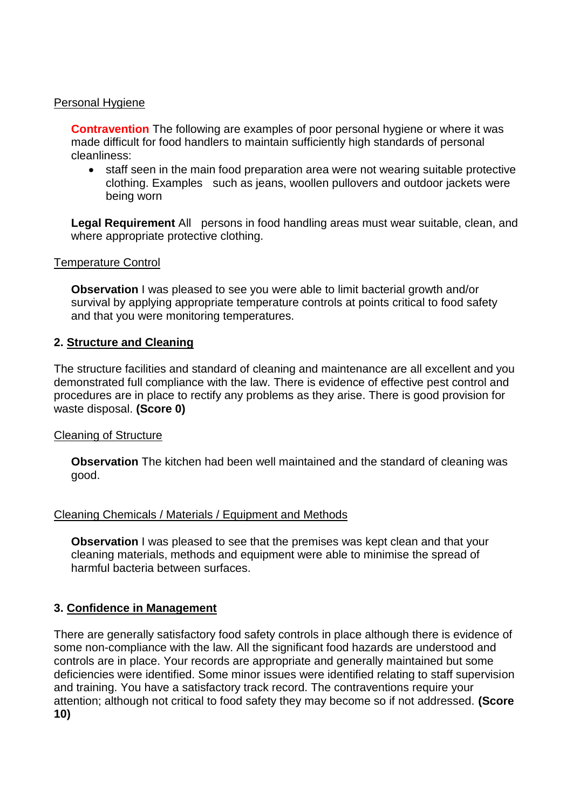### Personal Hygiene

**Contravention** The following are examples of poor personal hygiene or where it was made difficult for food handlers to maintain sufficiently high standards of personal cleanliness:

• staff seen in the main food preparation area were not wearing suitable protective clothing. Examples such as jeans, woollen pullovers and outdoor jackets were being worn

**Legal Requirement** All persons in food handling areas must wear suitable, clean, and where appropriate protective clothing.

#### Temperature Control

**Observation** I was pleased to see you were able to limit bacterial growth and/or survival by applying appropriate temperature controls at points critical to food safety and that you were monitoring temperatures.

## **2. Structure and Cleaning**

The structure facilities and standard of cleaning and maintenance are all excellent and you demonstrated full compliance with the law. There is evidence of effective pest control and procedures are in place to rectify any problems as they arise. There is good provision for waste disposal. **(Score 0)**

## Cleaning of Structure

**Observation** The kitchen had been well maintained and the standard of cleaning was good.

## Cleaning Chemicals / Materials / Equipment and Methods

**Observation** I was pleased to see that the premises was kept clean and that your cleaning materials, methods and equipment were able to minimise the spread of harmful bacteria between surfaces.

## **3. Confidence in Management**

There are generally satisfactory food safety controls in place although there is evidence of some non-compliance with the law. All the significant food hazards are understood and controls are in place. Your records are appropriate and generally maintained but some deficiencies were identified. Some minor issues were identified relating to staff supervision and training. You have a satisfactory track record. The contraventions require your attention; although not critical to food safety they may become so if not addressed. **(Score 10)**